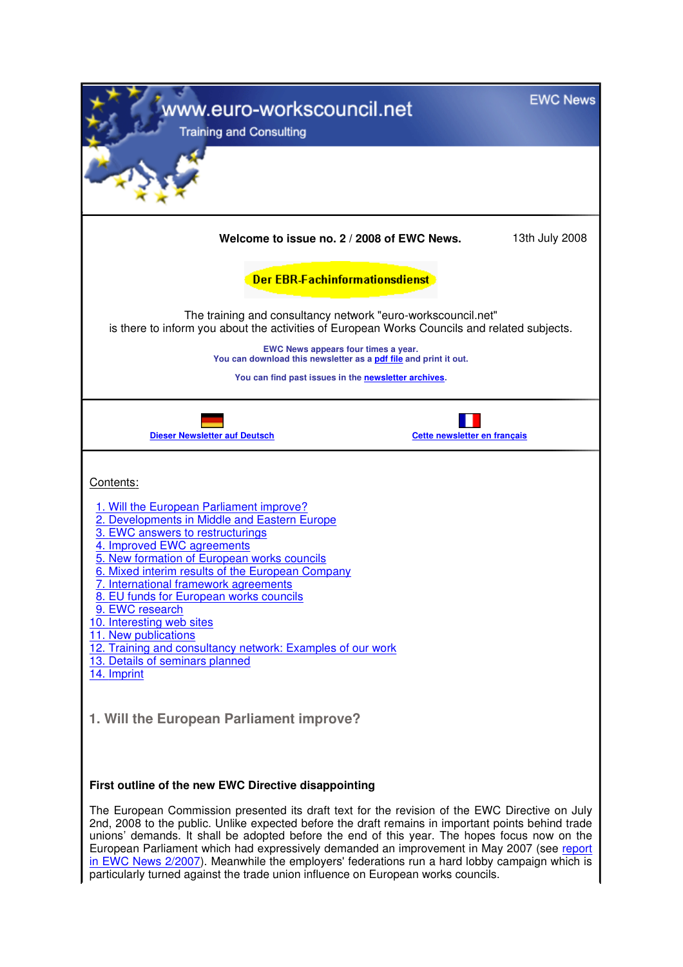| www.euro-workscouncil.net<br><b>Training and Consulting</b>                                                                                                                                                                                                                                                                                                                                                               | <b>EWC News</b> |
|---------------------------------------------------------------------------------------------------------------------------------------------------------------------------------------------------------------------------------------------------------------------------------------------------------------------------------------------------------------------------------------------------------------------------|-----------------|
|                                                                                                                                                                                                                                                                                                                                                                                                                           |                 |
| Welcome to issue no. 2 / 2008 of EWC News.                                                                                                                                                                                                                                                                                                                                                                                | 13th July 2008  |
| <b>Der EBR-Fachinformationsdienst</b>                                                                                                                                                                                                                                                                                                                                                                                     |                 |
| The training and consultancy network "euro-workscouncil.net"<br>is there to inform you about the activities of European Works Councils and related subjects.                                                                                                                                                                                                                                                              |                 |
| EWC News appears four times a year.<br>You can download this newsletter as a pdf file and print it out.                                                                                                                                                                                                                                                                                                                   |                 |
| You can find past issues in the newsletter archives.                                                                                                                                                                                                                                                                                                                                                                      |                 |
| <b>Dieser Newsletter auf Deutsch</b><br>Cette newsletter en français                                                                                                                                                                                                                                                                                                                                                      |                 |
| Contents:                                                                                                                                                                                                                                                                                                                                                                                                                 |                 |
| 1. Will the European Parliament improve?<br>2. Developments in Middle and Eastern Europe<br>3. EWC answers to restructurings<br>4. Improved EWC agreements<br>5. New formation of European works councils<br>6. Mixed interim results of the European Company<br>7. International framework agreements<br>8. EU funds for European works councils<br>9. EWC research<br>10. Interesting web sites<br>11. New publications |                 |
| 12. Training and consultancy network: Examples of our work<br>13. Details of seminars planned<br>14. Imprint                                                                                                                                                                                                                                                                                                              |                 |
| 1. Will the European Parliament improve?                                                                                                                                                                                                                                                                                                                                                                                  |                 |
| First outline of the new EWC Directive disappointing                                                                                                                                                                                                                                                                                                                                                                      |                 |
| The European Commission presented its draft text for the revision of the EWC Directive on July<br>2nd, 2008 to the public. Unlike expected before the draft remains in important points behind trade<br>unions' demands. It shall be adopted before the end of this year. The hopes focus now on the<br>European Parliament which had expressively demanded an improvement in May 2007 (see report                        |                 |

in EWC News 2/2007). Meanwhile the employers' federations run a hard lobby campaign which is

particularly turned against the trade union influence on European works councils.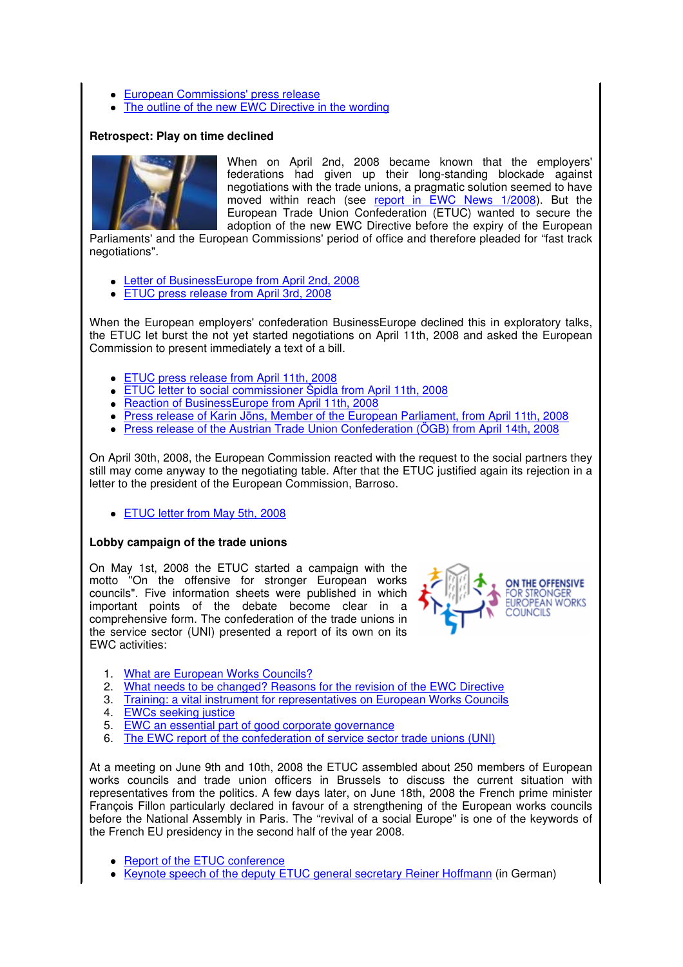- European Commissions' press release
- The outline of the new EWC Directive in the wording

## **Retrospect: Play on time declined**



When on April 2nd, 2008 became known that the employers' federations had given up their long-standing blockade against negotiations with the trade unions, a pragmatic solution seemed to have moved within reach (see report in EWC News 1/2008). But the European Trade Union Confederation (ETUC) wanted to secure the adoption of the new EWC Directive before the expiry of the European

Parliaments' and the European Commissions' period of office and therefore pleaded for "fast track negotiations".

- Letter of BusinessEurope from April 2nd, 2008
- ETUC press release from April 3rd, 2008

When the European employers' confederation BusinessEurope declined this in exploratory talks, the ETUC let burst the not yet started negotiations on April 11th, 2008 and asked the European Commission to present immediately a text of a bill.

- ETUC press release from April 11th, 2008
- ETUC letter to social commissioner Špidla from April 11th, 2008
- Reaction of BusinessEurope from April 11th, 2008
- Press release of Karin Jöns, Member of the European Parliament, from April 11th, 2008
- Press release of the Austrian Trade Union Confederation (ÖGB) from April 14th, 2008

On April 30th, 2008, the European Commission reacted with the request to the social partners they still may come anyway to the negotiating table. After that the ETUC justified again its rejection in a letter to the president of the European Commission, Barroso.

**ETUC letter from May 5th, 2008** 

#### **Lobby campaign of the trade unions**

On May 1st, 2008 the ETUC started a campaign with the motto "On the offensive for stronger European works councils". Five information sheets were published in which important points of the debate become clear in a comprehensive form. The confederation of the trade unions in the service sector (UNI) presented a report of its own on its EWC activities:



- 1. What are European Works Councils?
- 2. What needs to be changed? Reasons for the revision of the EWC Directive
- 3. Training: a vital instrument for representatives on European Works Councils
- 4. EWCs seeking justice
- 5. EWC an essential part of good corporate governance
- 6. The EWC report of the confederation of service sector trade unions (UNI)

At a meeting on June 9th and 10th, 2008 the ETUC assembled about 250 members of European works councils and trade union officers in Brussels to discuss the current situation with representatives from the politics. A few days later, on June 18th, 2008 the French prime minister François Fillon particularly declared in favour of a strengthening of the European works councils before the National Assembly in Paris. The "revival of a social Europe" is one of the keywords of the French EU presidency in the second half of the year 2008.

- Report of the ETUC conference
- Keynote speech of the deputy ETUC general secretary Reiner Hoffmann (in German)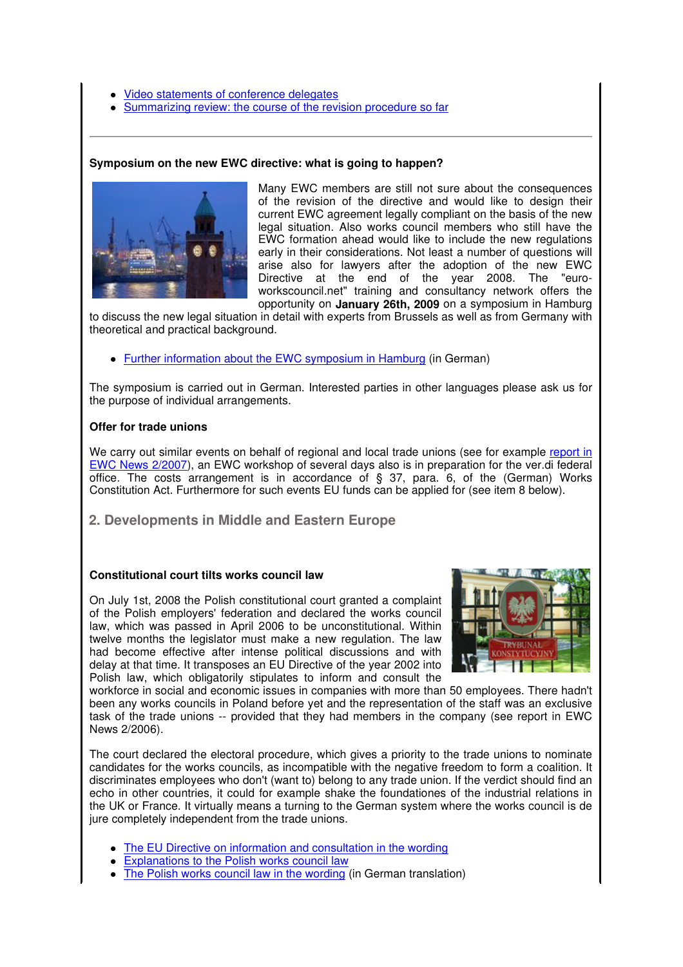- Video statements of conference delegates
- Summarizing review: the course of the revision procedure so far

## **Symposium on the new EWC directive: what is going to happen?**



Many EWC members are still not sure about the consequences of the revision of the directive and would like to design their current EWC agreement legally compliant on the basis of the new legal situation. Also works council members who still have the EWC formation ahead would like to include the new regulations early in their considerations. Not least a number of questions will arise also for lawyers after the adoption of the new EWC Directive at the end of the year 2008. The "euroworkscouncil.net" training and consultancy network offers the opportunity on **January 26th, 2009** on a symposium in Hamburg

to discuss the new legal situation in detail with experts from Brussels as well as from Germany with theoretical and practical background.

• Further information about the EWC symposium in Hamburg (in German)

The symposium is carried out in German. Interested parties in other languages please ask us for the purpose of individual arrangements.

#### **Offer for trade unions**

We carry out similar events on behalf of regional and local trade unions (see for example report in EWC News 2/2007), an EWC workshop of several days also is in preparation for the ver.di federal office. The costs arrangement is in accordance of § 37, para. 6, of the (German) Works Constitution Act. Furthermore for such events EU funds can be applied for (see item 8 below).

**2. Developments in Middle and Eastern Europe**

### **Constitutional court tilts works council law**

On July 1st, 2008 the Polish constitutional court granted a complaint of the Polish employers' federation and declared the works council law, which was passed in April 2006 to be unconstitutional. Within twelve months the legislator must make a new regulation. The law had become effective after intense political discussions and with delay at that time. It transposes an EU Directive of the year 2002 into Polish law, which obligatorily stipulates to inform and consult the



workforce in social and economic issues in companies with more than 50 employees. There hadn't been any works councils in Poland before yet and the representation of the staff was an exclusive task of the trade unions -- provided that they had members in the company (see report in EWC News 2/2006).

The court declared the electoral procedure, which gives a priority to the trade unions to nominate candidates for the works councils, as incompatible with the negative freedom to form a coalition. It discriminates employees who don't (want to) belong to any trade union. If the verdict should find an echo in other countries, it could for example shake the foundationes of the industrial relations in the UK or France. It virtually means a turning to the German system where the works council is de jure completely independent from the trade unions.

- The EU Directive on information and consultation in the wording
- Explanations to the Polish works council law
- The Polish works council law in the wording (in German translation)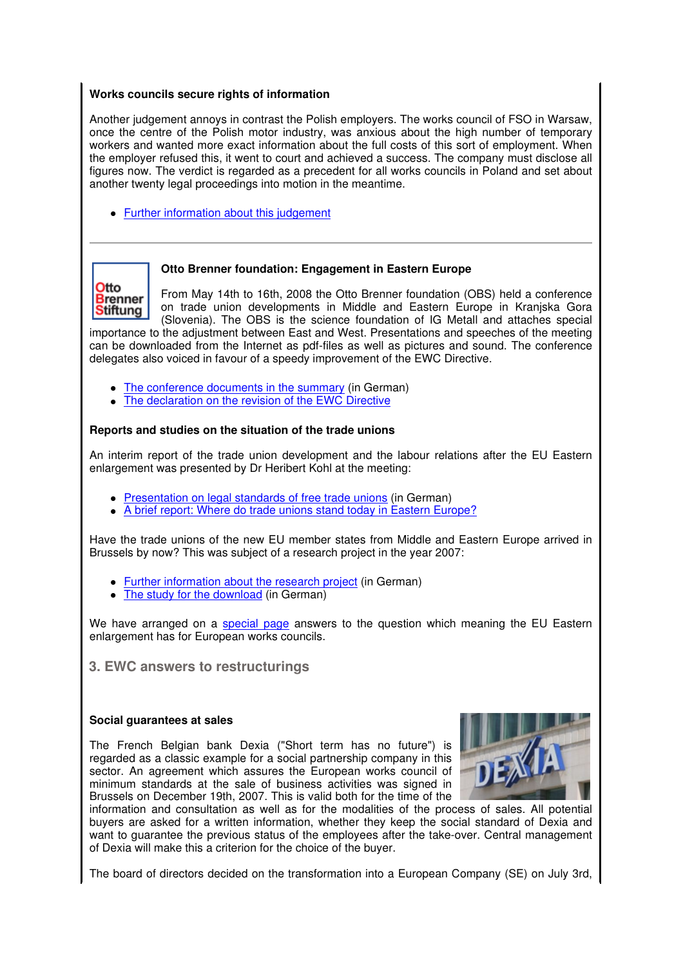## **Works councils secure rights of information**

Another judgement annoys in contrast the Polish employers. The works council of FSO in Warsaw, once the centre of the Polish motor industry, was anxious about the high number of temporary workers and wanted more exact information about the full costs of this sort of employment. When the employer refused this, it went to court and achieved a success. The company must disclose all figures now. The verdict is regarded as a precedent for all works councils in Poland and set about another twenty legal proceedings into motion in the meantime.

• Further information about this judgement

## **Otto Brenner foundation: Engagement in Eastern Europe**

Otto From May 14th to 16th, 2008 the Otto Brenner foundation (OBS) held a conference **Brenner** on trade union developments in Middle and Eastern Europe in Kranjska Gora Stiftung (Slovenia). The OBS is the science foundation of IG Metall and attaches special importance to the adjustment between East and West. Presentations and speeches of the meeting can be downloaded from the Internet as pdf-files as well as pictures and sound. The conference delegates also voiced in favour of a speedy improvement of the EWC Directive.

- The conference documents in the summary (in German)
- The declaration on the revision of the EWC Directive

## **Reports and studies on the situation of the trade unions**

An interim report of the trade union development and the labour relations after the EU Eastern enlargement was presented by Dr Heribert Kohl at the meeting:

- Presentation on legal standards of free trade unions (in German)
- A brief report: Where do trade unions stand today in Eastern Europe?

Have the trade unions of the new EU member states from Middle and Eastern Europe arrived in Brussels by now? This was subject of a research project in the year 2007:

- Further information about the research project (in German)
- The study for the download (in German)

We have arranged on a special page answers to the question which meaning the EU Eastern enlargement has for European works councils.

 **3. EWC answers to restructurings**

#### **Social guarantees at sales**

The French Belgian bank Dexia ("Short term has no future") is regarded as a classic example for a social partnership company in this sector. An agreement which assures the European works council of minimum standards at the sale of business activities was signed in Brussels on December 19th, 2007. This is valid both for the time of the



information and consultation as well as for the modalities of the process of sales. All potential buyers are asked for a written information, whether they keep the social standard of Dexia and want to guarantee the previous status of the employees after the take-over. Central management of Dexia will make this a criterion for the choice of the buyer.

The board of directors decided on the transformation into a European Company (SE) on July 3rd,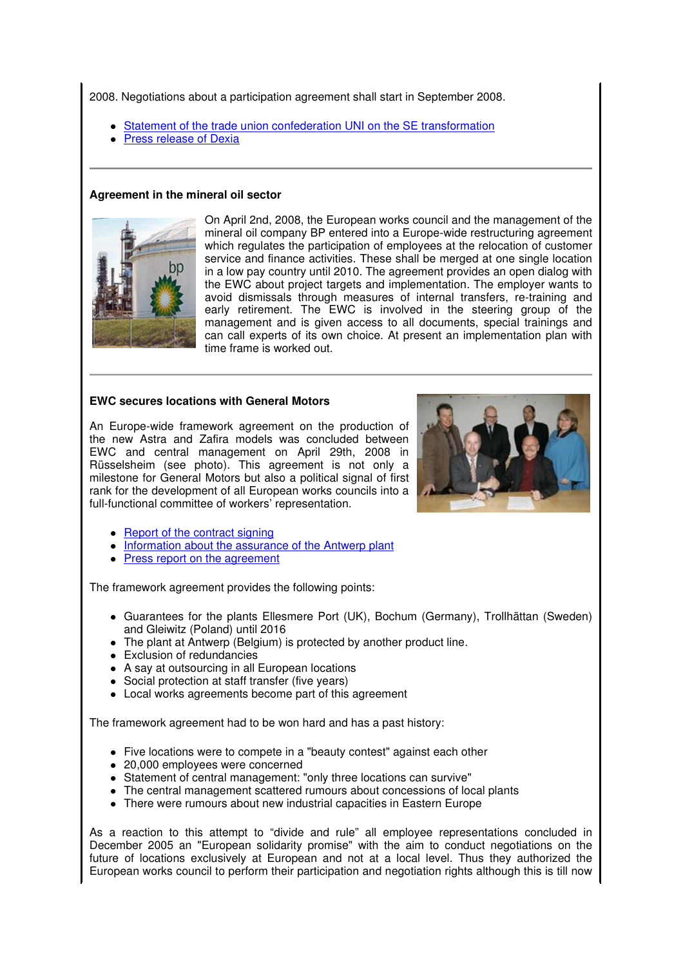2008. Negotiations about a participation agreement shall start in September 2008.

- Statement of the trade union confederation UNI on the SE transformation
- Press release of Dexia

## **Agreement in the mineral oil sector**



On April 2nd, 2008, the European works council and the management of the mineral oil company BP entered into a Europe-wide restructuring agreement which regulates the participation of employees at the relocation of customer service and finance activities. These shall be merged at one single location in a low pay country until 2010. The agreement provides an open dialog with the EWC about project targets and implementation. The employer wants to avoid dismissals through measures of internal transfers, re-training and early retirement. The EWC is involved in the steering group of the management and is given access to all documents, special trainings and can call experts of its own choice. At present an implementation plan with time frame is worked out.

## **EWC secures locations with General Motors**

An Europe-wide framework agreement on the production of the new Astra and Zafira models was concluded between EWC and central management on April 29th, 2008 in Rüsselsheim (see photo). This agreement is not only a milestone for General Motors but also a political signal of first rank for the development of all European works councils into a full-functional committee of workers' representation.



- Report of the contract signing
- Information about the assurance of the Antwerp plant
- Press report on the agreement

The framework agreement provides the following points:

- Guarantees for the plants Ellesmere Port (UK), Bochum (Germany), Trollhättan (Sweden) and Gleiwitz (Poland) until 2016
- The plant at Antwerp (Belgium) is protected by another product line.
- Exclusion of redundancies
- A say at outsourcing in all European locations
- Social protection at staff transfer (five years)
- Local works agreements become part of this agreement

The framework agreement had to be won hard and has a past history:

- Five locations were to compete in a "beauty contest" against each other
- 20,000 employees were concerned
- Statement of central management: "only three locations can survive"
- The central management scattered rumours about concessions of local plants
- There were rumours about new industrial capacities in Eastern Europe

As a reaction to this attempt to "divide and rule" all employee representations concluded in December 2005 an "European solidarity promise" with the aim to conduct negotiations on the future of locations exclusively at European and not at a local level. Thus they authorized the European works council to perform their participation and negotiation rights although this is till now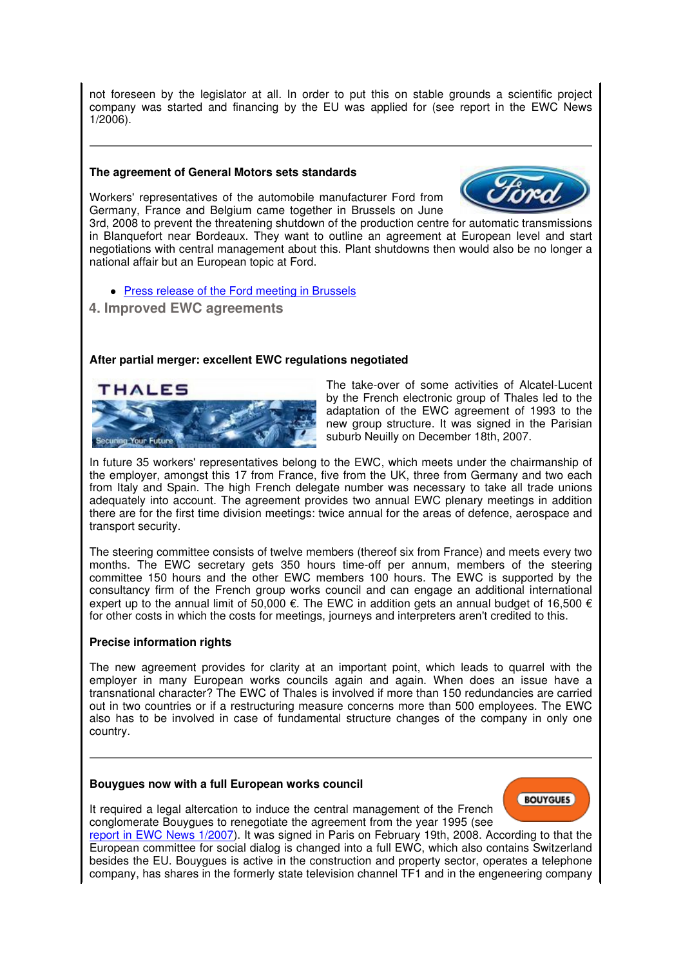not foreseen by the legislator at all. In order to put this on stable grounds a scientific project company was started and financing by the EU was applied for (see report in the EWC News 1/2006).

### **The agreement of General Motors sets standards**



Workers' representatives of the automobile manufacturer Ford from Germany, France and Belgium came together in Brussels on June

3rd, 2008 to prevent the threatening shutdown of the production centre for automatic transmissions in Blanquefort near Bordeaux. They want to outline an agreement at European level and start negotiations with central management about this. Plant shutdowns then would also be no longer a national affair but an European topic at Ford.

• Press release of the Ford meeting in Brussels

 **4. Improved EWC agreements**

## **After partial merger: excellent EWC regulations negotiated**



The take-over of some activities of Alcatel-Lucent by the French electronic group of Thales led to the adaptation of the EWC agreement of 1993 to the new group structure. It was signed in the Parisian suburb Neuilly on December 18th, 2007.

In future 35 workers' representatives belong to the EWC, which meets under the chairmanship of the employer, amongst this 17 from France, five from the UK, three from Germany and two each from Italy and Spain. The high French delegate number was necessary to take all trade unions adequately into account. The agreement provides two annual EWC plenary meetings in addition there are for the first time division meetings: twice annual for the areas of defence, aerospace and transport security.

The steering committee consists of twelve members (thereof six from France) and meets every two months. The EWC secretary gets 350 hours time-off per annum, members of the steering committee 150 hours and the other EWC members 100 hours. The EWC is supported by the consultancy firm of the French group works council and can engage an additional international expert up to the annual limit of 50,000  $\epsilon$ . The EWC in addition gets an annual budget of 16,500  $\epsilon$ for other costs in which the costs for meetings, journeys and interpreters aren't credited to this.

## **Precise information rights**

The new agreement provides for clarity at an important point, which leads to quarrel with the employer in many European works councils again and again. When does an issue have a transnational character? The EWC of Thales is involved if more than 150 redundancies are carried out in two countries or if a restructuring measure concerns more than 500 employees. The EWC also has to be involved in case of fundamental structure changes of the company in only one country.

## **Bouygues now with a full European works council**

It required a legal altercation to induce the central management of the French conglomerate Bouygues to renegotiate the agreement from the year 1995 (see



report in EWC News 1/2007). It was signed in Paris on February 19th, 2008. According to that the European committee for social dialog is changed into a full EWC, which also contains Switzerland besides the EU. Bouygues is active in the construction and property sector, operates a telephone company, has shares in the formerly state television channel TF1 and in the engeneering company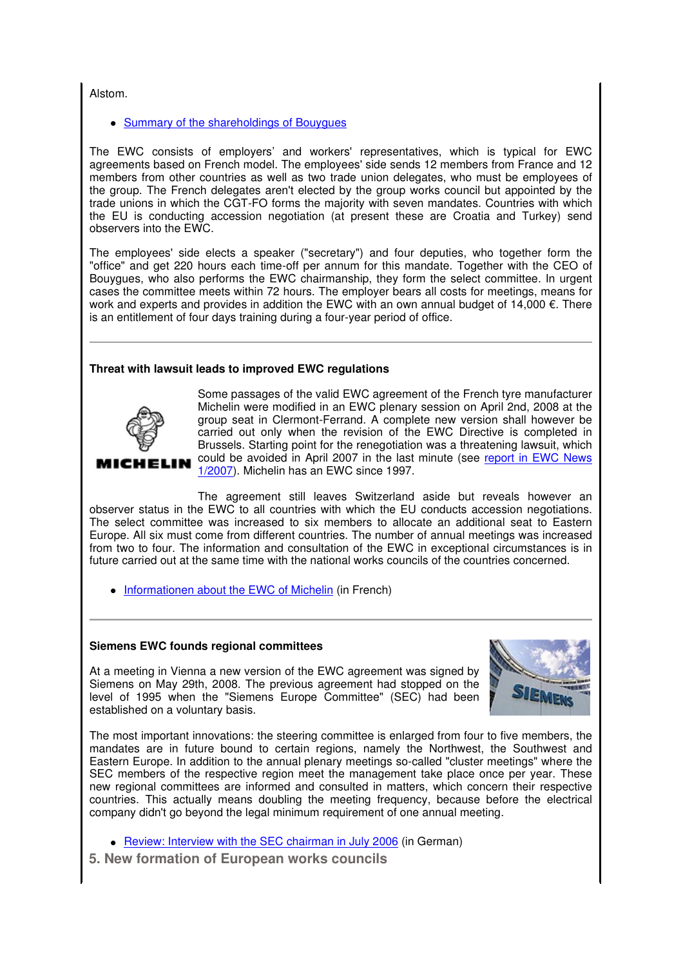Alstom.

Summary of the shareholdings of Bouygues

The EWC consists of employers' and workers' representatives, which is typical for EWC agreements based on French model. The employees' side sends 12 members from France and 12 members from other countries as well as two trade union delegates, who must be employees of the group. The French delegates aren't elected by the group works council but appointed by the trade unions in which the CGT-FO forms the majority with seven mandates. Countries with which the EU is conducting accession negotiation (at present these are Croatia and Turkey) send observers into the EWC.

The employees' side elects a speaker ("secretary") and four deputies, who together form the "office" and get 220 hours each time-off per annum for this mandate. Together with the CEO of Bouygues, who also performs the EWC chairmanship, they form the select committee. In urgent cases the committee meets within 72 hours. The employer bears all costs for meetings, means for work and experts and provides in addition the EWC with an own annual budget of 14,000 €. There is an entitlement of four days training during a four-year period of office.

## **Threat with lawsuit leads to improved EWC regulations**



Some passages of the valid EWC agreement of the French tyre manufacturer Michelin were modified in an EWC plenary session on April 2nd, 2008 at the group seat in Clermont-Ferrand. A complete new version shall however be carried out only when the revision of the EWC Directive is completed in Brussels. Starting point for the renegotiation was a threatening lawsuit, which could be avoided in April 2007 in the last minute (see report in EWC News 1/2007). Michelin has an EWC since 1997.

The agreement still leaves Switzerland aside but reveals however an observer status in the EWC to all countries with which the EU conducts accession negotiations. The select committee was increased to six members to allocate an additional seat to Eastern Europe. All six must come from different countries. The number of annual meetings was increased from two to four. The information and consultation of the EWC in exceptional circumstances is in future carried out at the same time with the national works councils of the countries concerned.

• Informationen about the EWC of Michelin (in French)

### **Siemens EWC founds regional committees**

At a meeting in Vienna a new version of the EWC agreement was signed by Siemens on May 29th, 2008. The previous agreement had stopped on the level of 1995 when the "Siemens Europe Committee" (SEC) had been established on a voluntary basis.



The most important innovations: the steering committee is enlarged from four to five members, the mandates are in future bound to certain regions, namely the Northwest, the Southwest and Eastern Europe. In addition to the annual plenary meetings so-called "cluster meetings" where the SEC members of the respective region meet the management take place once per year. These new regional committees are informed and consulted in matters, which concern their respective countries. This actually means doubling the meeting frequency, because before the electrical company didn't go beyond the legal minimum requirement of one annual meeting.

• Review: Interview with the SEC chairman in July 2006 (in German)

 **5. New formation of European works councils**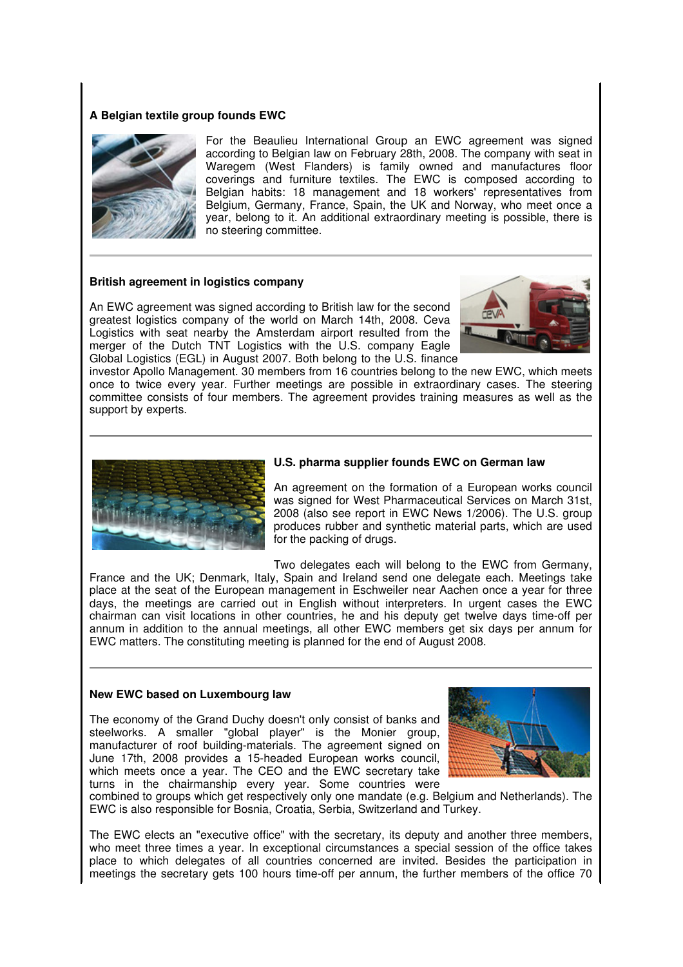### **A Belgian textile group founds EWC**



For the Beaulieu International Group an EWC agreement was signed according to Belgian law on February 28th, 2008. The company with seat in Waregem (West Flanders) is family owned and manufactures floor coverings and furniture textiles. The EWC is composed according to Belgian habits: 18 management and 18 workers' representatives from Belgium, Germany, France, Spain, the UK and Norway, who meet once a year, belong to it. An additional extraordinary meeting is possible, there is no steering committee.

#### **British agreement in logistics company**

An EWC agreement was signed according to British law for the second greatest logistics company of the world on March 14th. 2008. Ceva Logistics with seat nearby the Amsterdam airport resulted from the merger of the Dutch TNT Logistics with the U.S. company Eagle Global Logistics (EGL) in August 2007. Both belong to the U.S. finance



investor Apollo Management. 30 members from 16 countries belong to the new EWC, which meets once to twice every year. Further meetings are possible in extraordinary cases. The steering committee consists of four members. The agreement provides training measures as well as the support by experts.



#### **U.S. pharma supplier founds EWC on German law**

An agreement on the formation of a European works council was signed for West Pharmaceutical Services on March 31st, 2008 (also see report in EWC News 1/2006). The U.S. group produces rubber and synthetic material parts, which are used for the packing of drugs.

Two delegates each will belong to the EWC from Germany, France and the UK; Denmark, Italy, Spain and Ireland send one delegate each. Meetings take place at the seat of the European management in Eschweiler near Aachen once a year for three days, the meetings are carried out in English without interpreters. In urgent cases the EWC chairman can visit locations in other countries, he and his deputy get twelve days time-off per annum in addition to the annual meetings, all other EWC members get six days per annum for EWC matters. The constituting meeting is planned for the end of August 2008.

#### **New EWC based on Luxembourg law**

The economy of the Grand Duchy doesn't only consist of banks and steelworks. A smaller "global player" is the Monier group, manufacturer of roof building-materials. The agreement signed on June 17th, 2008 provides a 15-headed European works council, which meets once a year. The CEO and the EWC secretary take turns in the chairmanship every year. Some countries were



combined to groups which get respectively only one mandate (e.g. Belgium and Netherlands). The EWC is also responsible for Bosnia, Croatia, Serbia, Switzerland and Turkey.

The EWC elects an "executive office" with the secretary, its deputy and another three members, who meet three times a year. In exceptional circumstances a special session of the office takes place to which delegates of all countries concerned are invited. Besides the participation in meetings the secretary gets 100 hours time-off per annum, the further members of the office 70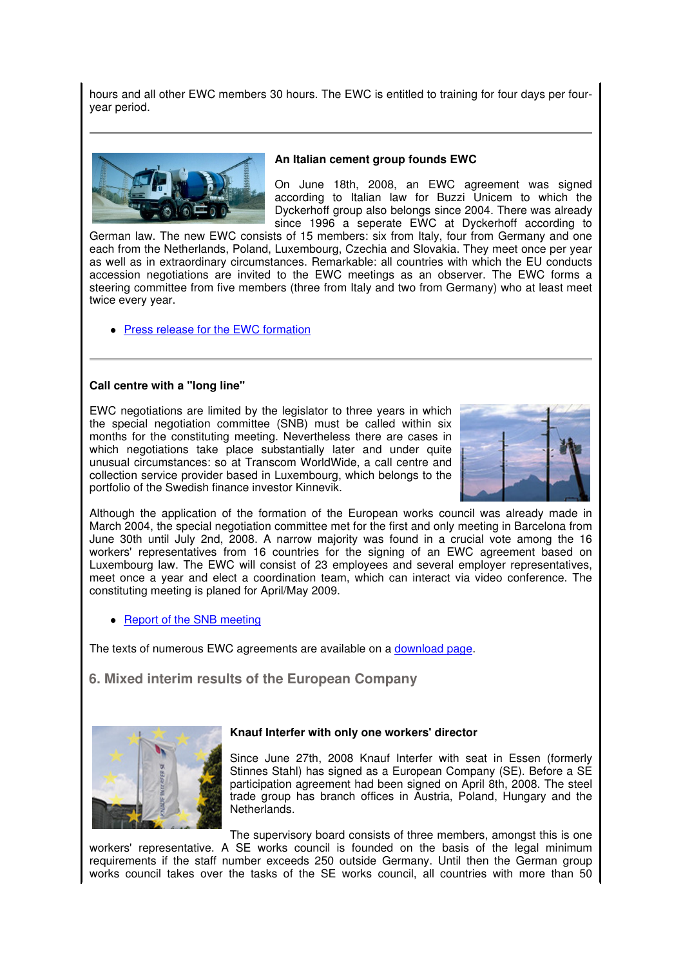hours and all other EWC members 30 hours. The EWC is entitled to training for four days per fouryear period.



## **An Italian cement group founds EWC**

On June 18th, 2008, an EWC agreement was signed according to Italian law for Buzzi Unicem to which the Dyckerhoff group also belongs since 2004. There was already since 1996 a seperate EWC at Dyckerhoff according to

German law. The new EWC consists of 15 members: six from Italy, four from Germany and one each from the Netherlands, Poland, Luxembourg, Czechia and Slovakia. They meet once per year as well as in extraordinary circumstances. Remarkable: all countries with which the EU conducts accession negotiations are invited to the EWC meetings as an observer. The EWC forms a steering committee from five members (three from Italy and two from Germany) who at least meet twice every year.

• Press release for the EWC formation

## **Call centre with a "long line"**

EWC negotiations are limited by the legislator to three years in which the special negotiation committee (SNB) must be called within six months for the constituting meeting. Nevertheless there are cases in which negotiations take place substantially later and under quite unusual circumstances: so at Transcom WorldWide, a call centre and collection service provider based in Luxembourg, which belongs to the portfolio of the Swedish finance investor Kinnevik.



Although the application of the formation of the European works council was already made in March 2004, the special negotiation committee met for the first and only meeting in Barcelona from June 30th until July 2nd, 2008. A narrow majority was found in a crucial vote among the 16 workers' representatives from 16 countries for the signing of an EWC agreement based on Luxembourg law. The EWC will consist of 23 employees and several employer representatives, meet once a year and elect a coordination team, which can interact via video conference. The constituting meeting is planed for April/May 2009.

• Report of the SNB meeting

The texts of numerous EWC agreements are available on a download page.

 **6. Mixed interim results of the European Company**



## **Knauf Interfer with only one workers' director**

Since June 27th, 2008 Knauf Interfer with seat in Essen (formerly Stinnes Stahl) has signed as a European Company (SE). Before a SE participation agreement had been signed on April 8th, 2008. The steel trade group has branch offices in Austria, Poland, Hungary and the Netherlands.

The supervisory board consists of three members, amongst this is one workers' representative. A SE works council is founded on the basis of the legal minimum requirements if the staff number exceeds 250 outside Germany. Until then the German group works council takes over the tasks of the SE works council, all countries with more than 50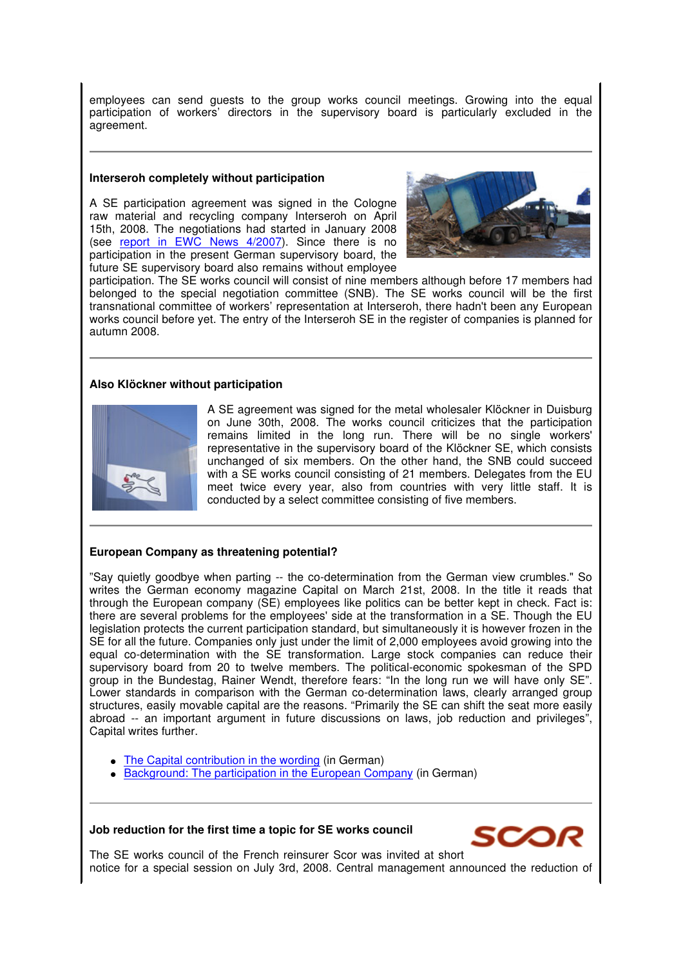employees can send guests to the group works council meetings. Growing into the equal participation of workers' directors in the supervisory board is particularly excluded in the agreement.

#### **Interseroh completely without participation**

A SE participation agreement was signed in the Cologne raw material and recycling company Interseroh on April 15th, 2008. The negotiations had started in January 2008 (see report in EWC News 4/2007). Since there is no participation in the present German supervisory board, the future SE supervisory board also remains without employee



participation. The SE works council will consist of nine members although before 17 members had belonged to the special negotiation committee (SNB). The SE works council will be the first transnational committee of workers' representation at Interseroh, there hadn't been any European works council before yet. The entry of the Interseroh SE in the register of companies is planned for autumn 2008.

#### **Also Klöckner without participation**



A SE agreement was signed for the metal wholesaler Klöckner in Duisburg on June 30th, 2008. The works council criticizes that the participation remains limited in the long run. There will be no single workers' representative in the supervisory board of the Klöckner SE, which consists unchanged of six members. On the other hand, the SNB could succeed with a SE works council consisting of 21 members. Delegates from the EU meet twice every year, also from countries with very little staff. It is conducted by a select committee consisting of five members.

#### **European Company as threatening potential?**

"Say quietly goodbye when parting -- the co-determination from the German view crumbles." So writes the German economy magazine Capital on March 21st, 2008. In the title it reads that through the European company (SE) employees like politics can be better kept in check. Fact is: there are several problems for the employees' side at the transformation in a SE. Though the EU legislation protects the current participation standard, but simultaneously it is however frozen in the SE for all the future. Companies only just under the limit of 2,000 employees avoid growing into the equal co-determination with the SE transformation. Large stock companies can reduce their supervisory board from 20 to twelve members. The political-economic spokesman of the SPD group in the Bundestag, Rainer Wendt, therefore fears: "In the long run we will have only SE". Lower standards in comparison with the German co-determination laws, clearly arranged group structures, easily movable capital are the reasons. "Primarily the SE can shift the seat more easily abroad -- an important argument in future discussions on laws, job reduction and privileges", Capital writes further.

- The Capital contribution in the wording (in German)
- Background: The participation in the European Company (in German)

#### **Job reduction for the first time a topic for SE works council**



The SE works council of the French reinsurer Scor was invited at short notice for a special session on July 3rd, 2008. Central management announced the reduction of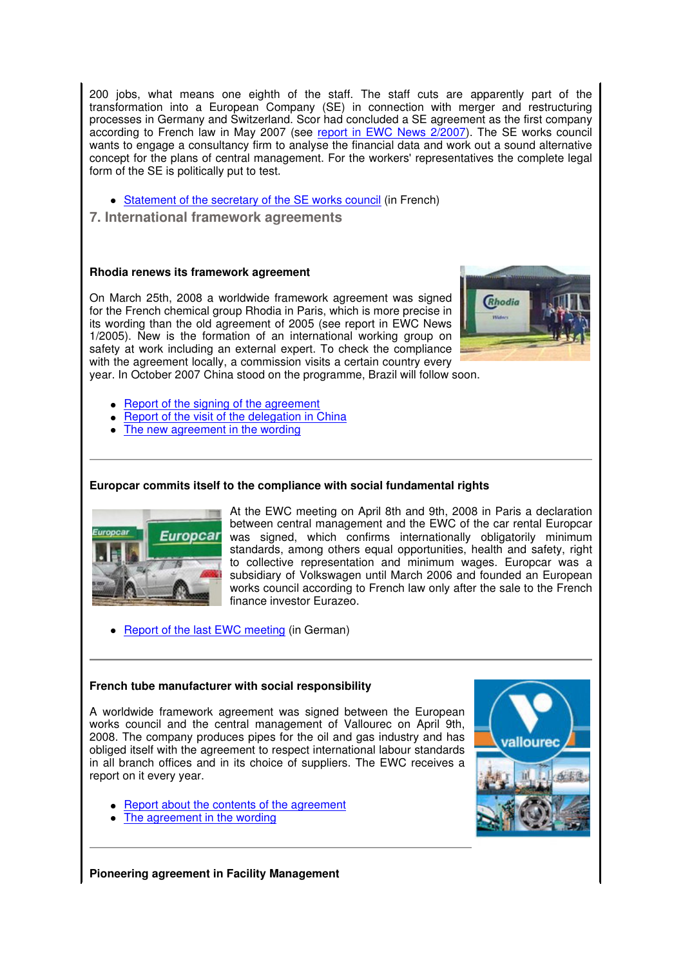200 jobs, what means one eighth of the staff. The staff cuts are apparently part of the transformation into a European Company (SE) in connection with merger and restructuring processes in Germany and Switzerland. Scor had concluded a SE agreement as the first company according to French law in May 2007 (see report in EWC News 2/2007). The SE works council wants to engage a consultancy firm to analyse the financial data and work out a sound alternative concept for the plans of central management. For the workers' representatives the complete legal form of the SE is politically put to test.

- Statement of the secretary of the SE works council (in French)
- **7. International framework agreements**

#### **Rhodia renews its framework agreement**

On March 25th, 2008 a worldwide framework agreement was signed for the French chemical group Rhodia in Paris, which is more precise in its wording than the old agreement of 2005 (see report in EWC News 1/2005). New is the formation of an international working group on safety at work including an external expert. To check the compliance with the agreement locally, a commission visits a certain country every



year. In October 2007 China stood on the programme, Brazil will follow soon.

- Report of the signing of the agreement
- Report of the visit of the delegation in China
- The new agreement in the wording

### **Europcar commits itself to the compliance with social fundamental rights**



At the EWC meeting on April 8th and 9th, 2008 in Paris a declaration between central management and the EWC of the car rental Europcar was signed, which confirms internationally obligatorily minimum standards, among others equal opportunities, health and safety, right to collective representation and minimum wages. Europcar was a subsidiary of Volkswagen until March 2006 and founded an European works council according to French law only after the sale to the French finance investor Eurazeo.

Report of the last EWC meeting (in German)

#### **French tube manufacturer with social responsibility**

A worldwide framework agreement was signed between the European works council and the central management of Vallourec on April 9th, 2008. The company produces pipes for the oil and gas industry and has obliged itself with the agreement to respect international labour standards in all branch offices and in its choice of suppliers. The EWC receives a report on it every year.

- Report about the contents of the agreement
- The agreement in the wording



**Pioneering agreement in Facility Management**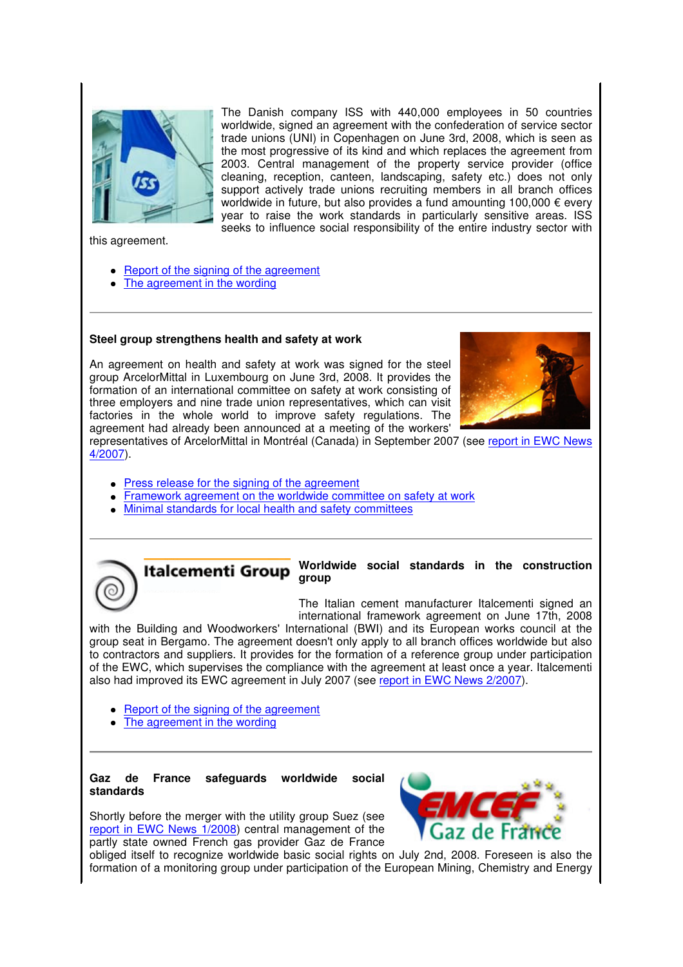

The Danish company ISS with 440,000 employees in 50 countries worldwide, signed an agreement with the confederation of service sector trade unions (UNI) in Copenhagen on June 3rd, 2008, which is seen as the most progressive of its kind and which replaces the agreement from 2003. Central management of the property service provider (office cleaning, reception, canteen, landscaping, safety etc.) does not only support actively trade unions recruiting members in all branch offices worldwide in future, but also provides a fund amounting 100,000  $\epsilon$  every year to raise the work standards in particularly sensitive areas. ISS seeks to influence social responsibility of the entire industry sector with

this agreement.

- Report of the signing of the agreement
- The agreement in the wording

#### **Steel group strengthens health and safety at work**

An agreement on health and safety at work was signed for the steel group ArcelorMittal in Luxembourg on June 3rd, 2008. It provides the formation of an international committee on safety at work consisting of three employers and nine trade union representatives, which can visit factories in the whole world to improve safety regulations. The agreement had already been announced at a meeting of the workers'



representatives of ArcelorMittal in Montréal (Canada) in September 2007 (see report in EWC News 4/2007).

- Press release for the signing of the agreement
- Framework agreement on the worldwide committee on safety at work
- Minimal standards for local health and safety committees



The Italian cement manufacturer Italcementi signed an international framework agreement on June 17th, 2008

with the Building and Woodworkers' International (BWI) and its European works council at the group seat in Bergamo. The agreement doesn't only apply to all branch offices worldwide but also to contractors and suppliers. It provides for the formation of a reference group under participation of the EWC, which supervises the compliance with the agreement at least once a year. Italcementi also had improved its EWC agreement in July 2007 (see report in EWC News 2/2007).

- Report of the signing of the agreement
- The agreement in the wording

#### **Gaz de France safeguards worldwide social standards**

Shortly before the merger with the utility group Suez (see report in EWC News 1/2008) central management of the partly state owned French gas provider Gaz de France



obliged itself to recognize worldwide basic social rights on July 2nd, 2008. Foreseen is also the formation of a monitoring group under participation of the European Mining, Chemistry and Energy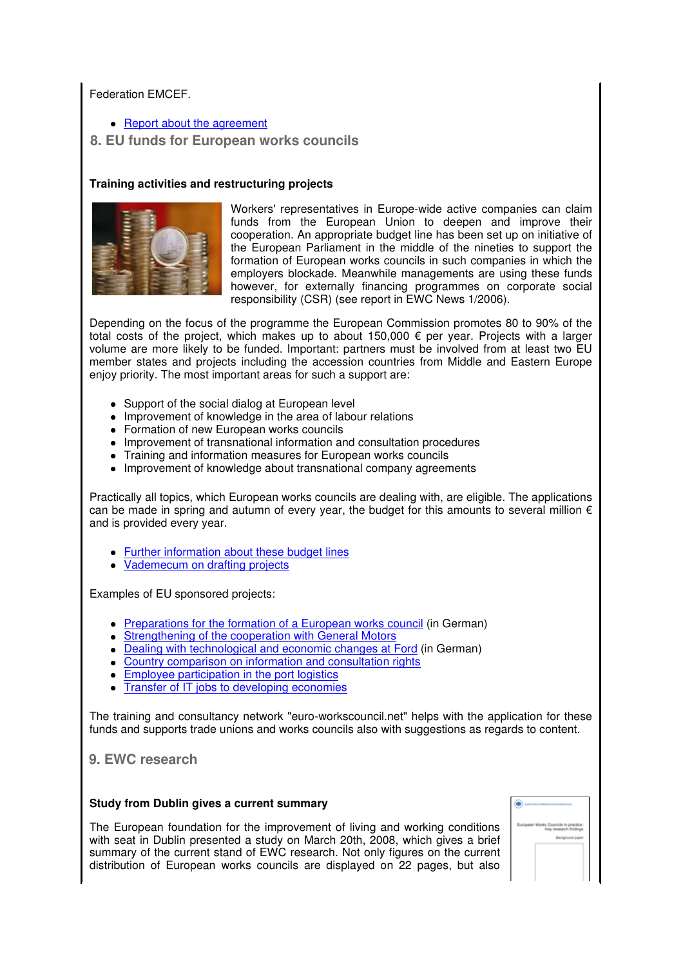## Federation EMCEF.

• Report about the agreement

# **8. EU funds for European works councils**

## **Training activities and restructuring projects**



Workers' representatives in Europe-wide active companies can claim funds from the European Union to deepen and improve their cooperation. An appropriate budget line has been set up on initiative of the European Parliament in the middle of the nineties to support the formation of European works councils in such companies in which the employers blockade. Meanwhile managements are using these funds however, for externally financing programmes on corporate social responsibility (CSR) (see report in EWC News 1/2006).

Depending on the focus of the programme the European Commission promotes 80 to 90% of the total costs of the project, which makes up to about 150,000  $\epsilon$  per year. Projects with a larger volume are more likely to be funded. Important: partners must be involved from at least two EU member states and projects including the accession countries from Middle and Eastern Europe enjoy priority. The most important areas for such a support are:

- Support of the social dialog at European level
- Improvement of knowledge in the area of labour relations
- Formation of new European works councils
- Improvement of transnational information and consultation procedures
- Training and information measures for European works councils
- Improvement of knowledge about transnational company agreements

Practically all topics, which European works councils are dealing with, are eligible. The applications can be made in spring and autumn of every year, the budget for this amounts to several million  $\epsilon$ and is provided every year.

- Further information about these budget lines
- Vademecum on drafting projects

Examples of EU sponsored projects:

- Preparations for the formation of a European works council (in German)
- Strengthening of the cooperation with General Motors
- Dealing with technological and economic changes at Ford (in German)
- Country comparison on information and consultation rights
- Employee participation in the port logistics
- Transfer of IT jobs to developing economies

The training and consultancy network "euro-workscouncil.net" helps with the application for these funds and supports trade unions and works councils also with suggestions as regards to content.

# **9. EWC research**

### **Study from Dublin gives a current summary**

The European foundation for the improvement of living and working conditions with seat in Dublin presented a study on March 20th, 2008, which gives a brief summary of the current stand of EWC research. Not only figures on the current distribution of European works councils are displayed on 22 pages, but also

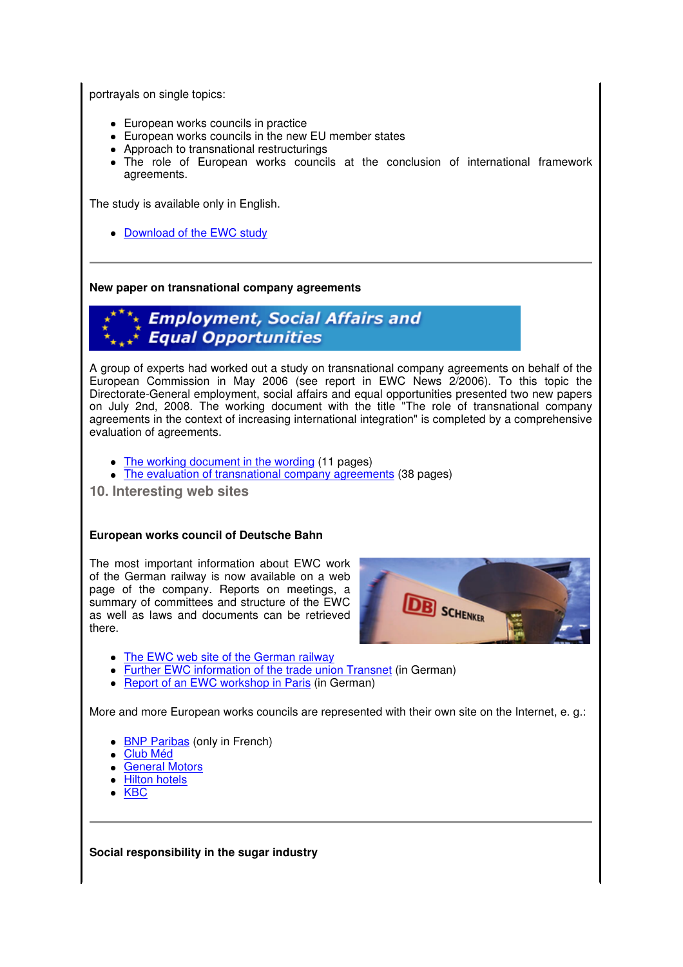portrayals on single topics:

- European works councils in practice
- European works councils in the new EU member states
- Approach to transnational restructurings
- The role of European works councils at the conclusion of international framework agreements.

The study is available only in English.

• Download of the EWC study

**New paper on transnational company agreements**



A group of experts had worked out a study on transnational company agreements on behalf of the European Commission in May 2006 (see report in EWC News 2/2006). To this topic the Directorate-General employment, social affairs and equal opportunities presented two new papers on July 2nd, 2008. The working document with the title "The role of transnational company agreements in the context of increasing international integration" is completed by a comprehensive evaluation of agreements.

- The working document in the wording (11 pages)
- The evaluation of transnational company agreements (38 pages)
- **10. Interesting web sites**

#### **European works council of Deutsche Bahn**

The most important information about EWC work of the German railway is now available on a web page of the company. Reports on meetings, a summary of committees and structure of the EWC as well as laws and documents can be retrieved there.



- The EWC web site of the German railway
- Further EWC information of the trade union Transnet (in German)
- Report of an EWC workshop in Paris (in German)

More and more European works councils are represented with their own site on the Internet, e. g.:

- BNP Paribas (only in French)
- Club Méd
- General Motors
- Hilton hotels
- $\bullet$  KBC

**Social responsibility in the sugar industry**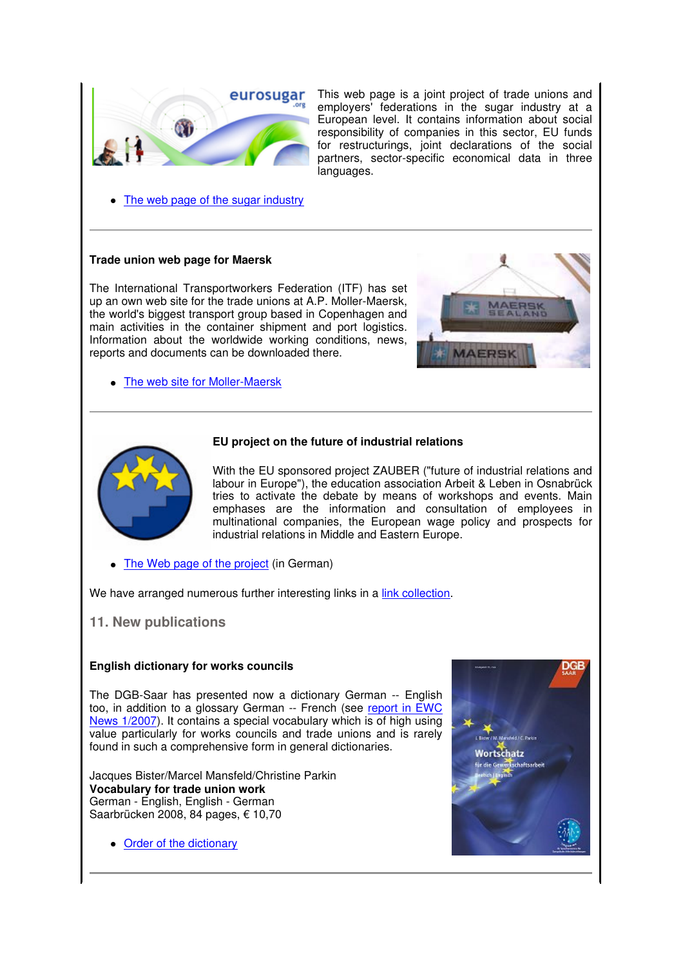

**eurosugar** This web page is a joint project of trade unions and employers' federations in the sugar industry at a European level. It contains information about social responsibility of companies in this sector, EU funds for restructurings, joint declarations of the social partners, sector-specific economical data in three languages.

• The web page of the sugar industry

## **Trade union web page for Maersk**

The International Transportworkers Federation (ITF) has set up an own web site for the trade unions at A.P. Moller-Maersk, the world's biggest transport group based in Copenhagen and main activities in the container shipment and port logistics. Information about the worldwide working conditions, news, reports and documents can be downloaded there.



The web site for Moller-Maersk

## **EU project on the future of industrial relations**

With the EU sponsored project ZAUBER ("future of industrial relations and labour in Europe"), the education association Arbeit & Leben in Osnabrück tries to activate the debate by means of workshops and events. Main emphases are the information and consultation of employees in multinational companies, the European wage policy and prospects for industrial relations in Middle and Eastern Europe.

• The Web page of the project (in German)

We have arranged numerous further interesting links in a link collection.

**11. New publications**

#### **English dictionary for works councils**

The DGB-Saar has presented now a dictionary German -- English too, in addition to a glossary German -- French (see report in EWC News 1/2007). It contains a special vocabulary which is of high using value particularly for works councils and trade unions and is rarely found in such a comprehensive form in general dictionaries.

Jacques Bister/Marcel Mansfeld/Christine Parkin **Vocabulary for trade union work** German - English, English - German Saarbrücken 2008, 84 pages, € 10,70

• Order of the dictionary

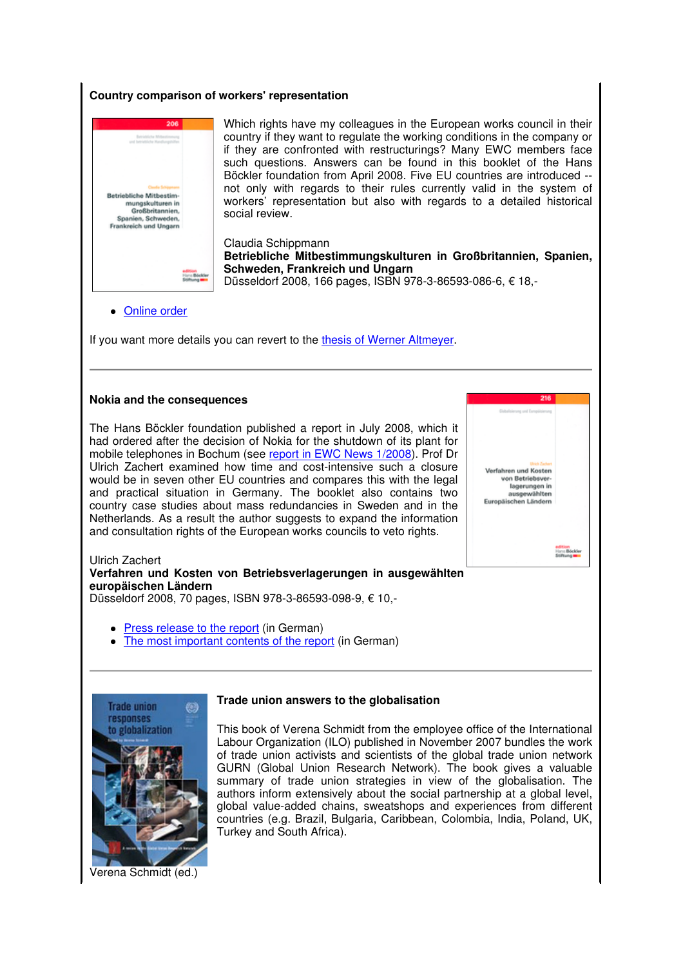### **Country comparison of workers' representation**



Which rights have my colleagues in the European works council in their country if they want to regulate the working conditions in the company or if they are confronted with restructurings? Many EWC members face such questions. Answers can be found in this booklet of the Hans Böckler foundation from April 2008. Five EU countries are introduced - not only with regards to their rules currently valid in the system of workers' representation but also with regards to a detailed historical social review.

Claudia Schippmann **Betriebliche Mitbestimmungskulturen in Großbritannien, Spanien, Schweden, Frankreich und Ungarn** Düsseldorf 2008, 166 pages, ISBN 978-3-86593-086-6, € 18,-

• Online order

If you want more details you can revert to the thesis of Werner Altmeyer.

#### **Nokia and the consequences**

The Hans Böckler foundation published a report in July 2008, which it had ordered after the decision of Nokia for the shutdown of its plant for mobile telephones in Bochum (see report in EWC News 1/2008). Prof Dr Ulrich Zachert examined how time and cost-intensive such a closure would be in seven other EU countries and compares this with the legal and practical situation in Germany. The booklet also contains two country case studies about mass redundancies in Sweden and in the Netherlands. As a result the author suggests to expand the information and consultation rights of the European works councils to veto rights.



edition<br>Hans Böckler<br>Salt

#### Ulrich Zachert

**Verfahren und Kosten von Betriebsverlagerungen in ausgewählten europäischen Ländern** Düsseldorf 2008, 70 pages, ISBN 978-3-86593-098-9, € 10,-

- Press release to the report (in German)
- The most important contents of the report (in German)



### **Trade union answers to the globalisation**

This book of Verena Schmidt from the employee office of the International Labour Organization (ILO) published in November 2007 bundles the work of trade union activists and scientists of the global trade union network GURN (Global Union Research Network). The book gives a valuable summary of trade union strategies in view of the globalisation. The authors inform extensively about the social partnership at a global level, global value-added chains, sweatshops and experiences from different countries (e.g. Brazil, Bulgaria, Caribbean, Colombia, India, Poland, UK, Turkey and South Africa).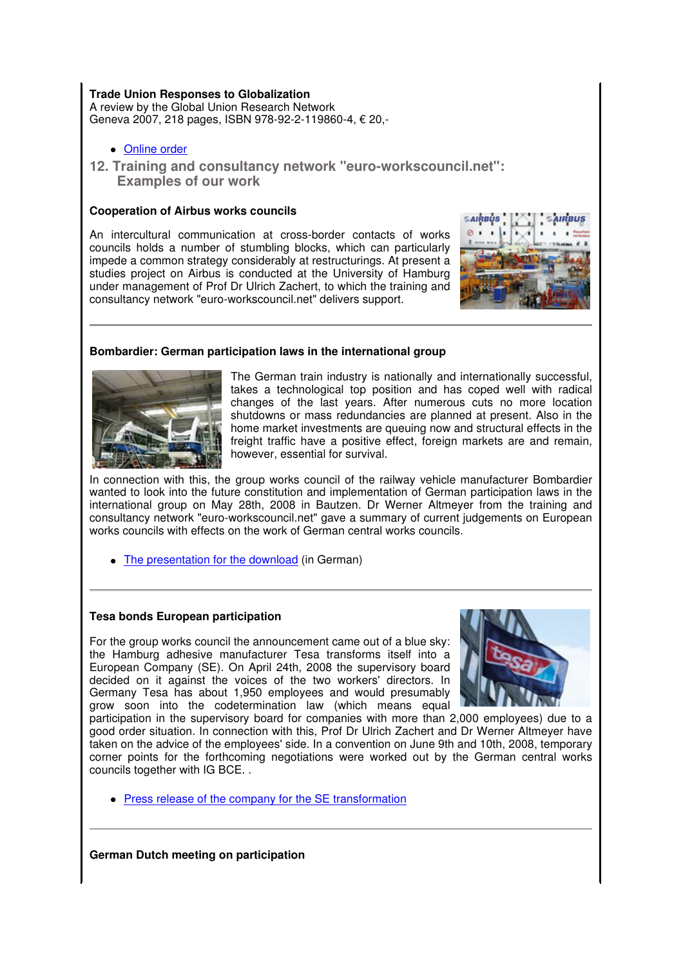## **Trade Union Responses to Globalization**

A review by the Global Union Research Network Geneva 2007, 218 pages, ISBN 978-92-2-119860-4, € 20,-

Online order

 **12. Training and consultancy network "euro-workscouncil.net": Examples of our work**

## **Cooperation of Airbus works councils**

An intercultural communication at cross-border contacts of works councils holds a number of stumbling blocks, which can particularly impede a common strategy considerably at restructurings. At present a studies project on Airbus is conducted at the University of Hamburg under management of Prof Dr Ulrich Zachert, to which the training and consultancy network "euro-workscouncil.net" delivers support.



## **Bombardier: German participation laws in the international group**



The German train industry is nationally and internationally successful, takes a technological top position and has coped well with radical changes of the last years. After numerous cuts no more location shutdowns or mass redundancies are planned at present. Also in the home market investments are queuing now and structural effects in the freight traffic have a positive effect, foreign markets are and remain, however, essential for survival.

In connection with this, the group works council of the railway vehicle manufacturer Bombardier wanted to look into the future constitution and implementation of German participation laws in the international group on May 28th, 2008 in Bautzen. Dr Werner Altmeyer from the training and consultancy network "euro-workscouncil.net" gave a summary of current judgements on European works councils with effects on the work of German central works councils.

• The presentation for the download (in German)

## **Tesa bonds European participation**

For the group works council the announcement came out of a blue sky: the Hamburg adhesive manufacturer Tesa transforms itself into a European Company (SE). On April 24th, 2008 the supervisory board decided on it against the voices of the two workers' directors. In Germany Tesa has about 1,950 employees and would presumably grow soon into the codetermination law (which means equal



participation in the supervisory board for companies with more than 2,000 employees) due to a good order situation. In connection with this, Prof Dr Ulrich Zachert and Dr Werner Altmeyer have taken on the advice of the employees' side. In a convention on June 9th and 10th, 2008, temporary corner points for the forthcoming negotiations were worked out by the German central works councils together with IG BCE. .

• Press release of the company for the SE transformation

**German Dutch meeting on participation**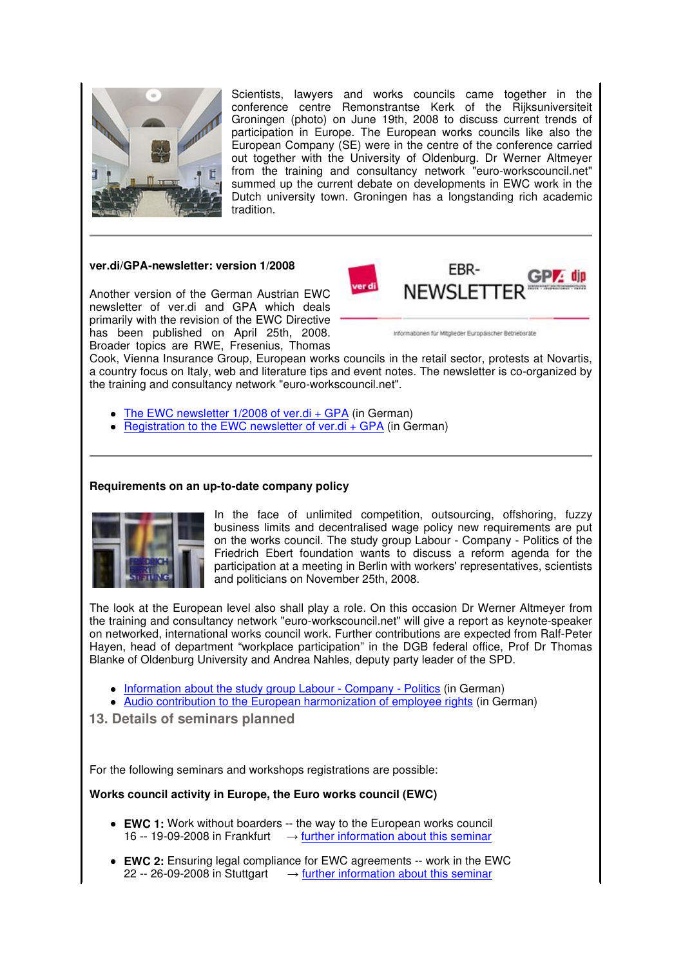

Scientists, lawyers and works councils came together in the conference centre Remonstrantse Kerk of the Rijksuniversiteit Groningen (photo) on June 19th, 2008 to discuss current trends of participation in Europe. The European works councils like also the European Company (SE) were in the centre of the conference carried out together with the University of Oldenburg. Dr Werner Altmeyer from the training and consultancy network "euro-workscouncil.net" summed up the current debate on developments in EWC work in the Dutch university town. Groningen has a longstanding rich academic tradition.

**ver.di/GPA-newsletter: version 1/2008**

Another version of the German Austrian EWC newsletter of ver.di and GPA which deals primarily with the revision of the EWC Directive has been published on April 25th, 2008. Broader topics are RWE, Fresenius, Thomas



Informationen für Möglieder Europäischer Betriebsräte

Cook, Vienna Insurance Group, European works councils in the retail sector, protests at Novartis, a country focus on Italy, web and literature tips and event notes. The newsletter is co-organized by the training and consultancy network "euro-workscouncil.net".

- The EWC newsletter 1/2008 of ver.di + GPA (in German)
- Registration to the EWC newsletter of ver.di + GPA (in German)

### **Requirements on an up-to-date company policy**



In the face of unlimited competition, outsourcing, offshoring, fuzzy business limits and decentralised wage policy new requirements are put on the works council. The study group Labour - Company - Politics of the Friedrich Ebert foundation wants to discuss a reform agenda for the participation at a meeting in Berlin with workers' representatives, scientists and politicians on November 25th, 2008.

The look at the European level also shall play a role. On this occasion Dr Werner Altmeyer from the training and consultancy network "euro-workscouncil.net" will give a report as keynote-speaker on networked, international works council work. Further contributions are expected from Ralf-Peter Hayen, head of department "workplace participation" in the DGB federal office, Prof Dr Thomas Blanke of Oldenburg University and Andrea Nahles, deputy party leader of the SPD.

- Information about the study group Labour Company Politics (in German)
- Audio contribution to the European harmonization of employee rights (in German)

 **13. Details of seminars planned**

For the following seminars and workshops registrations are possible:

**Works council activity in Europe, the Euro works council (EWC)**

- **EWC 1:** Work without boarders -- the way to the European works council 16 -- 19-09-2008 in Frankfurt  $\rightarrow$  further information about this seminar
- **EWC 2:** Ensuring legal compliance for EWC agreements -- work in the EWC 22 -- 26-09-2008 in Stuttgart  $\rightarrow$  further information about this seminar